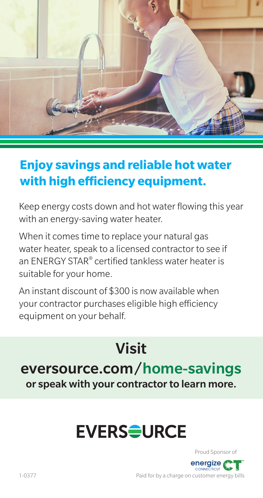

#### **Enjoy savings and reliable hot water with high efficiency equipment.**

Keep energy costs down and hot water flowing this year with an energy-saving water heater.

When it comes time to replace your natural gas water heater, speak to a licensed contractor to see if an ENERGY STAR® certified tankless water heater is suitable for your home.

An instant discount of \$300 is now available when your contractor purchases eligible high efficiency equipment on your behalf.

### Visit eversource.com/home-savings or speak with your contractor to learn more.

## **EVERS<del>Q</del>URCE**



Paid for by a charge on customer energy bills